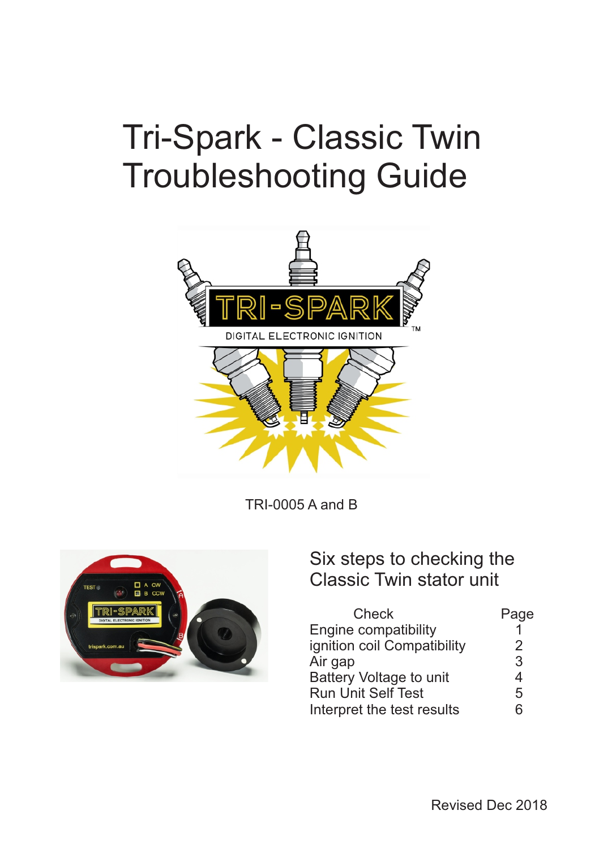# Tri-Spark - Classic Twin Troubleshooting Guide



TRI-0005 A and B



#### Six steps to checking the Classic Twin stator unit

| Check                       | Page |
|-----------------------------|------|
| Engine compatibility        |      |
| ignition coil Compatibility | 2    |
| Air gap                     | 3    |
| Battery Voltage to unit     | 4    |
| <b>Run Unit Self Test</b>   | 5    |
| Interpret the test results  | հ    |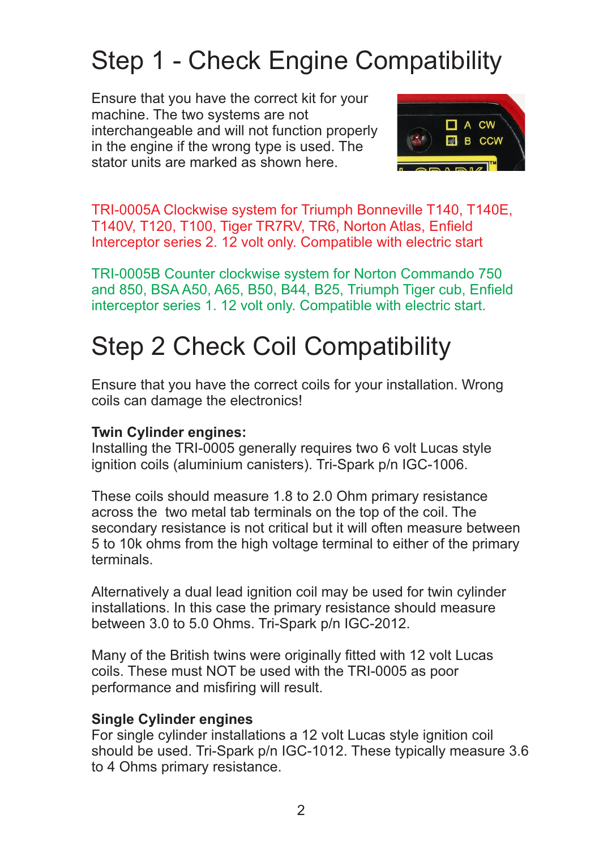## Step 1 - Check Engine Compatibility

Ensure that you have the correct kit for your machine. The two systems are not interchangeable and will not function properly in the engine if the wrong type is used. The stator units are marked as shown here.



TRI-0005A Clockwise system for Triumph Bonneville T140, T140E, T140V, T120, T100, Tiger TR7RV, TR6, Norton Atlas, Enfield Interceptor series 2. 12 volt only. Compatible with electric start

TRI-0005B Counter clockwise system for Norton Commando 750 and 850, BSA A50, A65, B50, B44, B25, Triumph Tiger cub, Enfield interceptor series 1. 12 volt only. Compatible with electric start.

### Step 2 Check Coil Compatibility

Ensure that you have the correct coils for your installation. Wrong coils can damage the electronics!

#### **Twin Cylinder engines:**

Installing the TRI-0005 generally requires two 6 volt Lucas style ignition coils (aluminium canisters). Tri-Spark p/n IGC-1006.

These coils should measure 1.8 to 2.0 Ohm primary resistance across the two metal tab terminals on the top of the coil. The secondary resistance is not critical but it will often measure between 5 to 10k ohms from the high voltage terminal to either of the primary terminals.

Alternatively a dual lead ignition coil may be used for twin cylinder installations. In this case the primary resistance should measure between 3.0 to 5.0 Ohms. Tri-Spark p/n IGC-2012.

Many of the British twins were originally fitted with 12 volt Lucas coils. These must NOT be used with the TRI-0005 as poor performance and misfiring will result.

#### **Single Cylinder engines**

For single cylinder installations a 12 volt Lucas style ignition coil should be used. Tri-Spark p/n IGC-1012. These typically measure 3.6 to 4 Ohms primary resistance.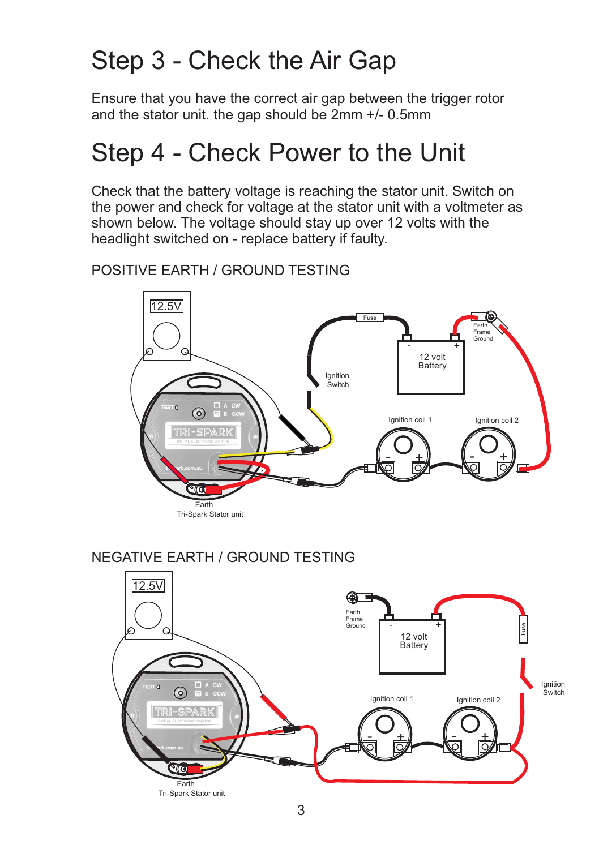### Step 3 - Check the Air Gap

Ensure that you have the correct air gap between the trigger rotor and the stator unit. the gap should be 2mm +/- 0.5mm

### Step 4 - Check Power to the Unit

Check that the battery voltage is reaching the stator unit. Switch on the power and check for voltage at the stator unit with a voltmeter as shown below. The voltage should stay up over 12 volts with the headlight switched on - replace battery if faulty.

#### POSITIVE EARTH / GROUND TESTING



#### NEGATIVE EARTH / GROUND TESTING

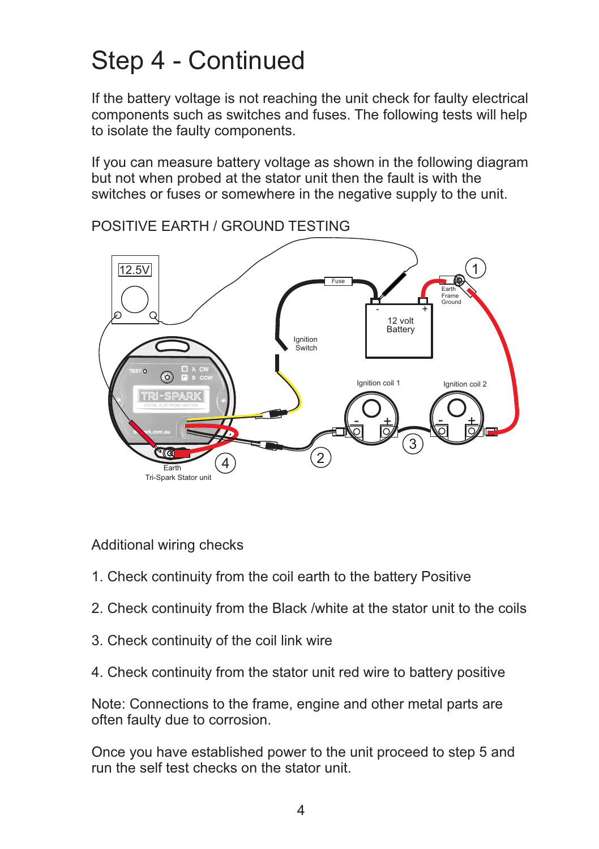### Step 4 - Continued

If the battery voltage is not reaching the unit check for faulty electrical components such as switches and fuses. The following tests will help to isolate the faulty components.

If you can measure battery voltage as shown in the following diagram but not when probed at the stator unit then the fault is with the switches or fuses or somewhere in the negative supply to the unit.



POSITIVE EARTH / GROUND TESTING

Additional wiring checks

- 1. Check continuity from the coil earth to the battery Positive
- 2. Check continuity from the Black /white at the stator unit to the coils
- 3. Check continuity of the coil link wire
- 4. Check continuity from the stator unit red wire to battery positive

Note: Connections to the frame, engine and other metal parts are often faulty due to corrosion.

Once you have established power to the unit proceed to step 5 and run the self test checks on the stator unit.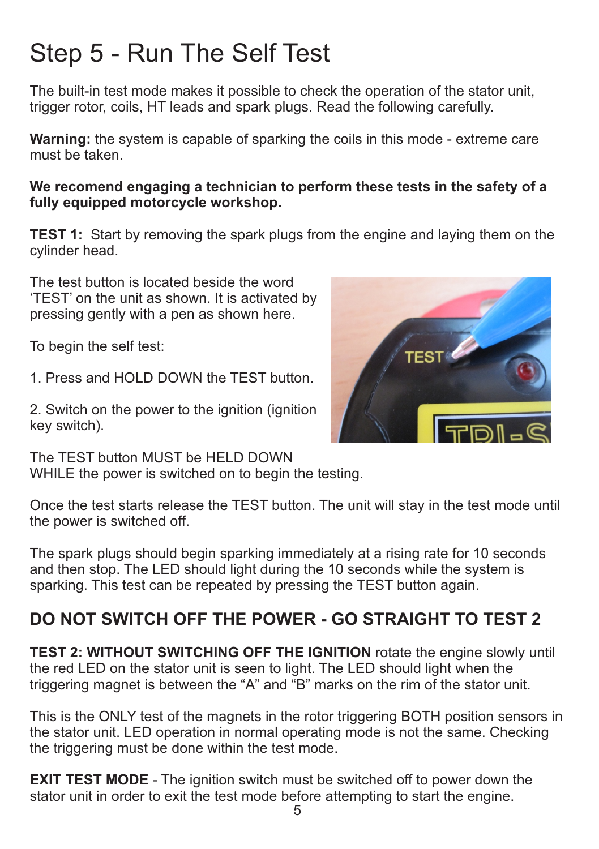# Step 5 - Run The Self Test

The built-in test mode makes it possible to check the operation of the stator unit, trigger rotor, coils, HT leads and spark plugs. Read the following carefully.

**Warning:** the system is capable of sparking the coils in this mode - extreme care must be taken.

**We recomend engaging a technician to perform these tests in the safety of a fully equipped motorcycle workshop.** 

**TEST 1:** Start by removing the spark plugs from the engine and laying them on the cylinder head.

The test button is located beside the word 'TEST' on the unit as shown. It is activated by pressing gently with a pen as shown here.

To begin the self test:

1. Press and HOLD DOWN the TEST button.

2. Switch on the power to the ignition (ignition key switch).

The TEST button MUST be HELD DOWN WHILE the power is switched on to begin the testing.

Once the test starts release the TEST button. The unit will stay in the test mode until the power is switched off.

The spark plugs should begin sparking immediately at a rising rate for 10 seconds and then stop. The LED should light during the 10 seconds while the system is sparking. This test can be repeated by pressing the TEST button again.

#### **DO NOT SWITCH OFF THE POWER - GO STRAIGHT TO TEST 2**

**TEST 2: WITHOUT SWITCHING OFF THE IGNITION** rotate the engine slowly until the red LED on the stator unit is seen to light. The LED should light when the triggering magnet is between the "A" and "B" marks on the rim of the stator unit.

This is the ONLY test of the magnets in the rotor triggering BOTH position sensors in the stator unit. LED operation in normal operating mode is not the same. Checking the triggering must be done within the test mode.

**EXIT TEST MODE** - The ignition switch must be switched off to power down the stator unit in order to exit the test mode before attempting to start the engine.